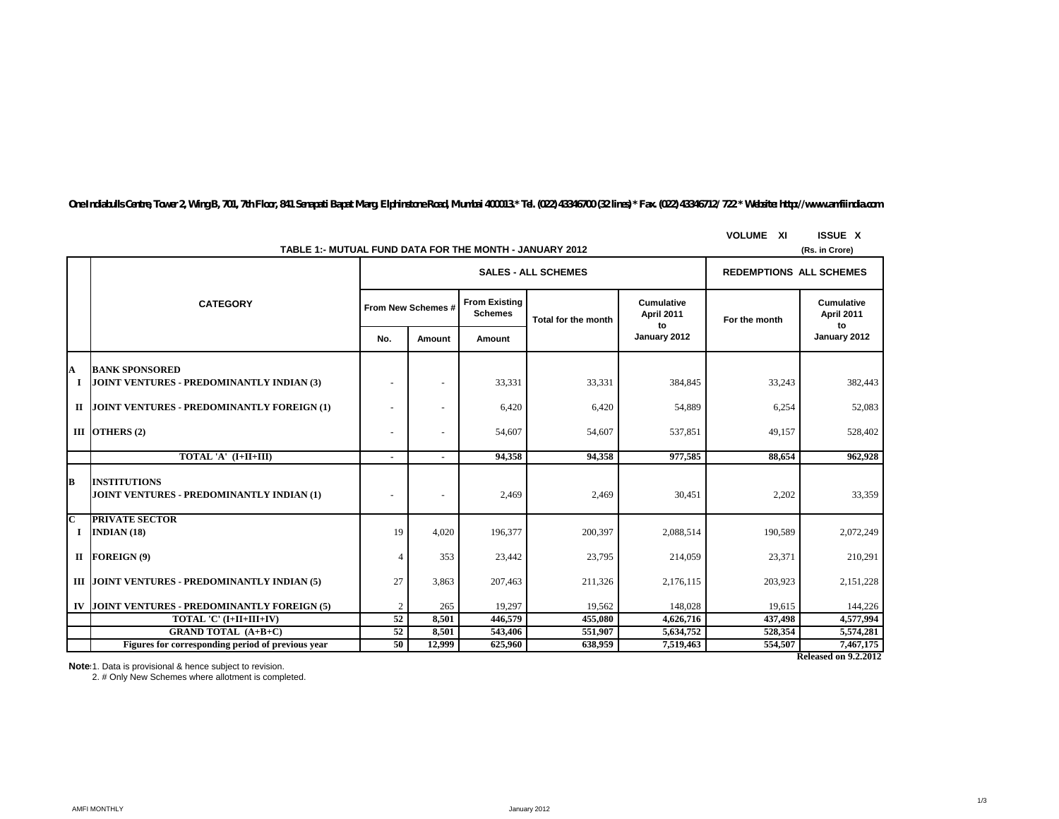*One Indiabulls Centre, Tower 2, Wing B, 701, 7th Floor, 841 Senapati Bapat Marg, Elphinstone Road, Mumbai 400013.\* Tel. (022) 43346700 (32 lines) \* Fax. (022) 43346712/ 722 \* Website: http://www.amfiindia.com*

|                     | TABLE 1:- MUTUAL FUND DATA FOR THE MONTH - JANUARY 2012            |                    | (Rs. in Crore)           |                                        |                                |                                |               |                                       |
|---------------------|--------------------------------------------------------------------|--------------------|--------------------------|----------------------------------------|--------------------------------|--------------------------------|---------------|---------------------------------------|
|                     |                                                                    |                    |                          | <b>SALES - ALL SCHEMES</b>             | <b>REDEMPTIONS ALL SCHEMES</b> |                                |               |                                       |
|                     | <b>CATEGORY</b>                                                    | From New Schemes # |                          | <b>From Existing</b><br><b>Schemes</b> | <b>Total for the month</b>     | Cumulative<br>April 2011<br>to | For the month | <b>Cumulative</b><br>April 2011<br>to |
|                     |                                                                    |                    | Amount                   | Amount                                 |                                | January 2012                   |               | January 2012                          |
| Т.                  | <b>BANK SPONSORED</b><br>JOINT VENTURES - PREDOMINANTLY INDIAN (3) |                    | $\overline{\phantom{a}}$ | 33,331                                 | 33,331                         | 384,845                        | 33,243        | 382,443                               |
|                     | II JOINT VENTURES - PREDOMINANTLY FOREIGN (1)                      |                    |                          | 6,420                                  | 6,420                          | 54,889                         | 6,254         | 52,083                                |
|                     | III OTHERS $(2)$                                                   |                    | $\sim$                   | 54,607                                 | 54,607                         | 537,851                        | 49,157        | 528,402                               |
|                     | TOTAL 'A' (I+II+III)                                               |                    | $\sim$                   | 94,358                                 | 94.358                         | 977,585                        | 88.654        | 962.928                               |
| В                   | <b>INSTITUTIONS</b><br>JOINT VENTURES - PREDOMINANTLY INDIAN (1)   |                    | $\overline{\phantom{a}}$ | 2,469                                  | 2.469                          | 30.451                         | 2,202         | 33,359                                |
| $\overline{C}$<br>1 | <b>PRIVATE SECTOR</b><br>INDIAN $(18)$                             | 19                 | 4,020                    | 196,377                                | 200,397                        | 2,088,514                      | 190,589       | 2,072,249                             |
|                     | $II$ FOREIGN (9)                                                   | 4                  | 353                      | 23,442                                 | 23,795                         | 214,059                        | 23,371        | 210,291                               |
|                     | III JOINT VENTURES - PREDOMINANTLY INDIAN (5)                      | 27                 | 3,863                    | 207,463                                | 211,326                        | 2,176,115                      | 203,923       | 2,151,228                             |
|                     | IV JOINT VENTURES - PREDOMINANTLY FOREIGN (5)                      | 2                  | 265                      | 19,297                                 | 19,562                         | 148,028                        | 19,615        | 144,226                               |
|                     | TOTAL 'C' (I+II+III+IV)                                            | 52                 | 8,501                    | 446,579                                | 455,080                        | 4,626,716                      | 437,498       | 4,577,994                             |
|                     | <b>GRAND TOTAL (A+B+C)</b>                                         | 52                 | 8,501                    | 543,406                                | 551,907                        | 5,634,752                      | 528,354       | 5,574,281                             |
|                     | Figures for corresponding period of previous year                  | 50                 | 12,999                   | 625,960                                | 638,959                        | 7,519,463                      | 554,507       | 7,467,175                             |
|                     |                                                                    |                    |                          |                                        |                                |                                |               | Released on 9.2.2012                  |

**VOLUME XI ISSUE X**

**Notes:**1. Data is provisional & hence subject to revision.

2. # Only New Schemes where allotment is completed.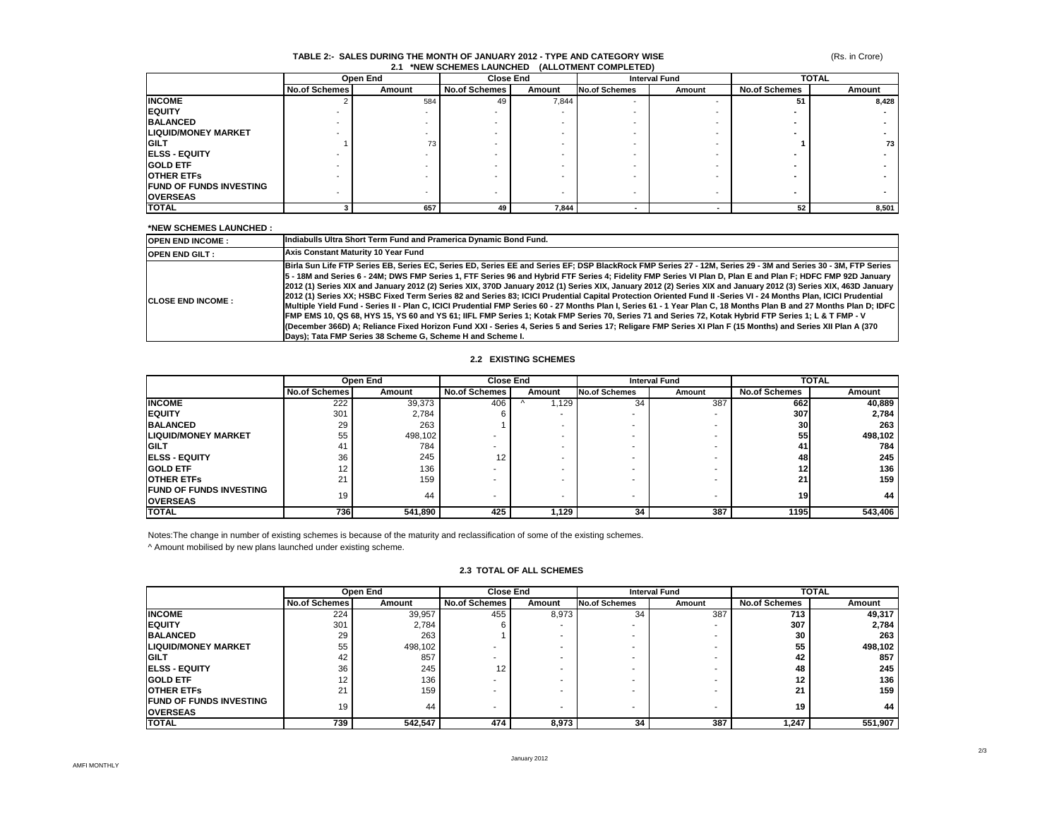# **TABLE 2:- SALES DURING THE MONTH OF JANUARY 2012 - TYPE AND CATEGORY WISE 2.1 \*NEW SCHEMES LAUNCHED (ALLOTMENT COMPLETED)**

(Rs. in Crore)

|                                | Open End             |        |                      | <b>Close End</b>         | <b>Interval Fund</b>     |        | <b>TOTAL</b>         |           |
|--------------------------------|----------------------|--------|----------------------|--------------------------|--------------------------|--------|----------------------|-----------|
|                                | <b>No.of Schemes</b> | Amount | <b>No.of Schemes</b> | Amount                   | <b>No.of Schemes</b>     | Amount | <b>No.of Schemes</b> | Amount    |
| <b>INCOME</b>                  |                      | 584    | 49                   | 7,844                    | $\sim$                   |        |                      | 8,428     |
| <b>EQUITY</b>                  |                      |        |                      | $\overline{\phantom{a}}$ |                          |        |                      |           |
| <b>BALANCED</b>                |                      |        |                      | $\overline{\phantom{a}}$ |                          |        |                      |           |
| <b>LIQUID/MONEY MARKET</b>     |                      |        |                      |                          |                          |        |                      |           |
| <b>IGILT</b>                   |                      | 73     |                      | $\overline{\phantom{a}}$ |                          |        |                      | <b>73</b> |
| <b>IELSS - EQUITY</b>          |                      |        |                      | $\overline{\phantom{a}}$ | $\overline{\phantom{a}}$ |        |                      |           |
| <b>GOLD ETF</b>                |                      |        |                      | $\overline{\phantom{a}}$ |                          |        |                      |           |
| <b>OTHER ETFS</b>              |                      |        |                      |                          |                          |        |                      |           |
| <b>FUND OF FUNDS INVESTING</b> |                      |        |                      |                          |                          |        |                      |           |
| <b>OVERSEAS</b>                |                      |        |                      | $\overline{\phantom{a}}$ | . .                      |        |                      | -         |
| <b>TOTAL</b>                   |                      | 657    | 49                   | 7.844                    |                          |        | 52                   | 8,501     |

## **\*NEW SCHEMES LAUNCHED :**

| <b>OPEN END INCOME:</b>    | Indiabulls Ultra Short Term Fund and Pramerica Dynamic Bond Fund.                                                                                                                                                                                                                                                                                                                                                                                                                                                                                                                                                                                                                                                                                                                                                                                                                                                                                                                                                                                                                                                                                                                                                                 |
|----------------------------|-----------------------------------------------------------------------------------------------------------------------------------------------------------------------------------------------------------------------------------------------------------------------------------------------------------------------------------------------------------------------------------------------------------------------------------------------------------------------------------------------------------------------------------------------------------------------------------------------------------------------------------------------------------------------------------------------------------------------------------------------------------------------------------------------------------------------------------------------------------------------------------------------------------------------------------------------------------------------------------------------------------------------------------------------------------------------------------------------------------------------------------------------------------------------------------------------------------------------------------|
| <b>OPEN END GILT:</b>      | Axis Constant Maturity 10 Year Fund                                                                                                                                                                                                                                                                                                                                                                                                                                                                                                                                                                                                                                                                                                                                                                                                                                                                                                                                                                                                                                                                                                                                                                                               |
| <b>ICLOSE END INCOME :</b> | Birla Sun Life FTP Series EB, Series EC, Series ED, Series EE and Series EF; DSP BlackRock FMP Series 27 - 12M, Series 29 - 3M and Series 30 - 3M, FTP Series<br>5 - 18M and Series 6 - 24M; DWS FMP Series 1, FTF Series 96 and Hybrid FTF Series 4; Fidelity FMP Series VI Plan D, Plan E and Plan F; HDFC FMP 92D January<br>2012 (1) Series XIX and January 2012 (2) Series XIX, 370D January 2012 (1) Series XIX, January 2012 (2) Series XIX and January 2012 (3) Series XIX, 463D January<br>2012 (1) Series XX; HSBC Fixed Term Series 82 and Series 83; ICICI Prudential Capital Protection Oriented Fund II -Series VI - 24 Months Plan, ICICI Prudential<br>Multiple Yield Fund - Series II - Plan C, ICICI Prudential FMP Series 60 - 27 Months Plan I, Series 61 - 1 Year Plan C, 18 Months Plan B and 27 Months Plan D; IDFC<br>IFMP EMS 10, QS 68, HYS 15, YS 60 and YS 61; IIFL FMP Series 1; Kotak FMP Series 70, Series 71 and Series 72, Kotak Hybrid FTP Series 1; L & T FMP - V<br>(December 366D) A; Reliance Fixed Horizon Fund XXI - Series 4, Series 5 and Series 17; Religare FMP Series XI Plan F (15 Months) and Series XII Plan A (370<br>Days); Tata FMP Series 38 Scheme G, Scheme H and Scheme I. |

## **2.2 EXISTING SCHEMES**

|                                 | Open End             |         | <b>Close End</b>     |                          |                      | <b>TOTAL</b><br><b>Interval Fund</b> |                      |                      |
|---------------------------------|----------------------|---------|----------------------|--------------------------|----------------------|--------------------------------------|----------------------|----------------------|
|                                 | <b>No.of Schemes</b> | Amount  | <b>No.of Schemes</b> | Amount                   | <b>No.of Schemes</b> | Amount                               | <b>No.of Schemes</b> | Amount               |
| <b>INCOME</b>                   | 222                  | 39,373  | 406                  | .129                     | 34                   | 387                                  | 662                  | 40,889               |
| <b>IEQUITY</b>                  | 301                  | 2,784   |                      | -                        |                      |                                      | 307                  | 2,784                |
| <b>BALANCED</b>                 | 29                   | 263     |                      | $\overline{\phantom{0}}$ |                      | -                                    | 30                   | 263                  |
| <b>LIQUID/MONEY MARKET</b>      | 55                   | 498,102 |                      |                          |                      |                                      | 55                   | 498,102              |
| <b>GILT</b>                     |                      | 784     |                      |                          |                      | -                                    | 41                   | 784                  |
| <b>IELSS - EQUITY</b>           | 36                   | 245     | 12                   |                          |                      |                                      | 48                   | 245                  |
| <b>GOLD ETF</b>                 | 12                   | 136     |                      | $\overline{\phantom{a}}$ |                      |                                      | 12                   | 136                  |
| <b>OTHER ETFS</b>               | 21                   | 159     |                      |                          |                      | -                                    | 21                   | 159                  |
| <b>IFUND OF FUNDS INVESTING</b> | 19                   | 44      |                      |                          |                      |                                      | 19 <sub>l</sub>      | 44                   |
| <b>OVERSEAS</b>                 |                      |         |                      | $\overline{\phantom{a}}$ |                      | -                                    |                      |                      |
| <b>TOTAL</b>                    | <b>736</b>           | 541,890 | 425                  | 1,129                    | 34                   | 387                                  | 1195                 | $\overline{543,}406$ |

Notes:The change in number of existing schemes is because of the maturity and reclassification of some of the existing schemes.

^ Amount mobilised by new plans launched under existing scheme.

|                                                   | Open End             |         | <b>Close End</b>     |        | <b>TOTAL</b><br><b>Interval Fund</b> |        |                      |         |
|---------------------------------------------------|----------------------|---------|----------------------|--------|--------------------------------------|--------|----------------------|---------|
|                                                   | <b>No.of Schemes</b> | Amount  | <b>No.of Schemes</b> | Amount | <b>No.of Schemes</b>                 | Amount | <b>No.of Schemes</b> | Amount  |
| <b>INCOME</b>                                     | 224                  | 39,957  | 455                  | 8,973  | 34                                   | 387    | 713                  | 49.317  |
| <b>EQUITY</b>                                     | 301                  | 2,784   |                      | ۰      |                                      | -      | 307                  | 2,784   |
| <b>BALANCED</b>                                   | 29                   | 263     |                      |        |                                      |        | 30                   | 263     |
| <b>LIQUID/MONEY MARKET</b>                        | 55                   | 498,102 |                      | -      |                                      |        | 55                   | 498,102 |
| <b>GILT</b>                                       | 42                   | 857     |                      |        |                                      |        | 42                   | 857     |
| <b>IELSS - EQUITY</b>                             | 36                   | 245     | $12 \overline{ }$    | ۰      |                                      |        | 48                   | 245     |
| <b>GOLD ETF</b>                                   | 12                   | 136     |                      |        |                                      |        | 12                   | 136     |
| <b>OTHER ETFS</b>                                 | 21                   | 159     |                      |        |                                      |        | 21                   | 159     |
| <b>FUND OF FUNDS INVESTING</b><br><b>OVERSEAS</b> | 19                   | 44      | -                    | ۰      |                                      | -      | 19                   | 44      |
| <b>TOTAL</b>                                      | 739                  | 542,547 | 474                  | 8,973  | 34                                   | 387    | ,247                 | 551,907 |

#### **2.3 TOTAL OF ALL SCHEMES**